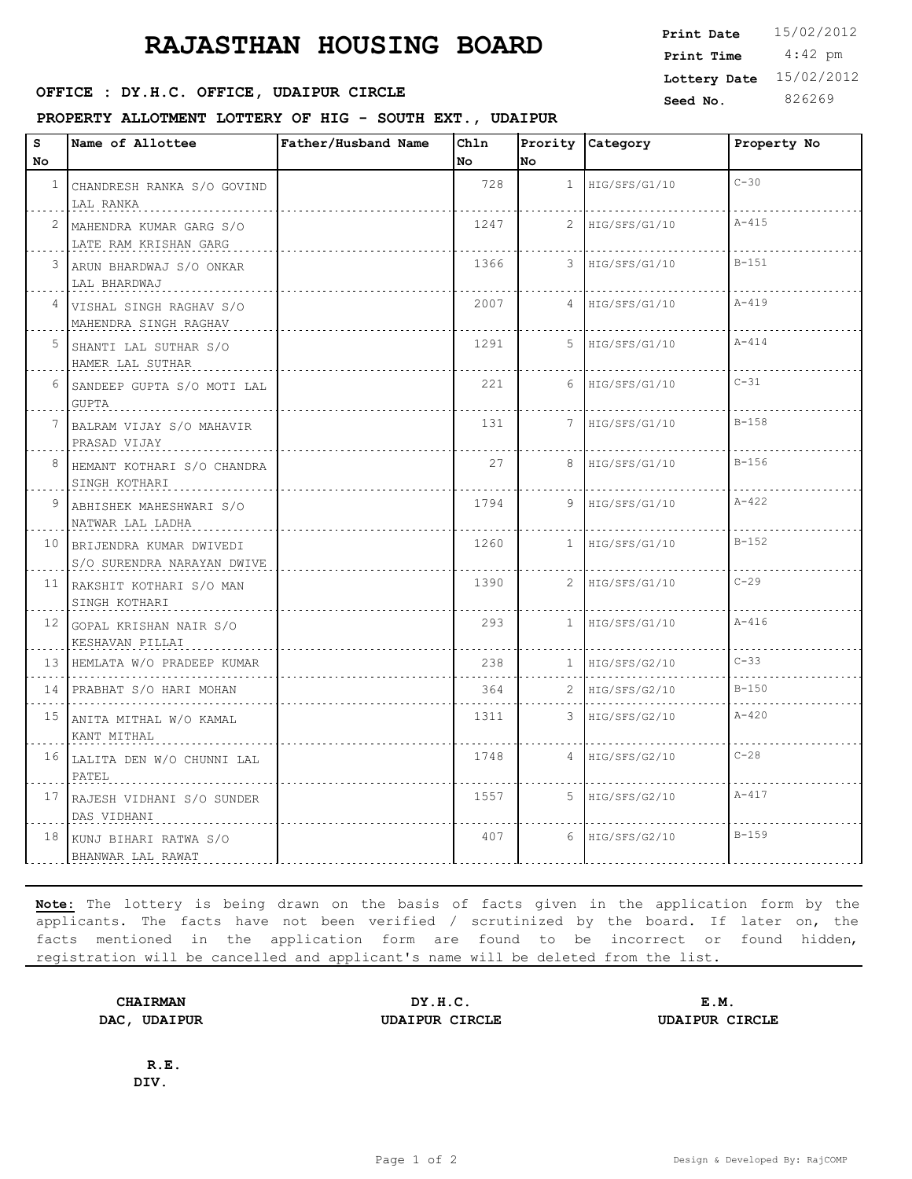# **RAJASTHAN HOUSING BOARD**

## **SEED : DY.H.C. OFFICE, UDAIPUR CIRCLE Seed No.** 826269

#### **PROPERTY ALLOTMENT LOTTERY OF HIG - SOUTH EXT., UDAIPUR**

| Print Date   | 15/02/2012 |  |  |
|--------------|------------|--|--|
| Print Time   | $4:42$ pm  |  |  |
| Lottery Date | 15/02/2012 |  |  |
| $0 - 11$     | $0.2500$   |  |  |

| s               | Name of Allottee                                      | Father/Husband Name | Chln |                | Prority Category    | Property No |
|-----------------|-------------------------------------------------------|---------------------|------|----------------|---------------------|-------------|
| No.             |                                                       |                     | No   | No             |                     |             |
| $\mathbf{1}$    | CHANDRESH RANKA S/O GOVIND<br>LAL RANKA               |                     | 728  |                | $1$ HIG/SFS/G1/10   | $C-30$      |
|                 | 2 MAHENDRA KUMAR GARG S/O<br>LATE RAM KRISHAN GARG    |                     | 1247 | $\mathbf{2}^-$ | HIG/SFS/G1/10       | $A - 415$   |
| 3               | ARUN BHARDWAJ S/O ONKAR<br>LAL BHARDWAJ               |                     | 1366 | 3              | HIG/SFS/G1/10       | $B-151$     |
| 4               | VISHAL SINGH RAGHAV S/O<br>MAHENDRA SINGH RAGHAV      |                     | 2007 | 4              | HIG/SFS/G1/10       | $A - 419$   |
| 5               | SHANTI LAL SUTHAR S/O<br>HAMER LAL SUTHAR             |                     | 1291 |                | $5$  HIG/SFS/G1/10  | $A - 414$   |
|                 | 6 SANDEEP GUPTA S/O MOTI LAL<br><b>GUPTA</b>          |                     | 221  | 6              | HIG/SFS/G1/10       | $C-31$      |
| 7               | BALRAM VIJAY S/O MAHAVIR<br>PRASAD VIJAY              |                     | 131  |                | 7 HIG/SFS/G1/10     | $B-158$     |
| 8               | HEMANT KOTHARI S/O CHANDRA<br>SINGH KOTHARI           |                     | 27   | 8              | HIG/SFS/G1/10       | $B - 156$   |
| 9               | ABHISHEK MAHESHWARI S/O<br>NATWAR LAL LADHA           |                     | 1794 | 9              | HIG/SFS/G1/10       | $A - 422$   |
| 10 <sub>1</sub> | BRIJENDRA KUMAR DWIVEDI<br>S/O SURENDRA NARAYAN DWIVE |                     | 1260 |                | $1$  HIG/SFS/G1/10  | $B - 152$   |
|                 | 11 RAKSHIT KOTHARI S/O MAN<br>SINGH KOTHARI           |                     | 1390 |                | $2$  HIG/SFS/G1/10  | $C-29$      |
|                 | 12 GOPAL KRISHAN NAIR S/O<br>KESHAVAN PILLAI          |                     | 293  |                | 1   HIG/SFS/G1/10   | $A - 416$   |
|                 | 13 HEMLATA W/O PRADEEP KUMAR                          |                     | 238  |                | $1$  HIG/SFS/G2/10  | $C - 33$    |
|                 | 14 PRABHAT S/O HARI MOHAN                             |                     | 364  | 2.             | HIG/SFS/G2/10       | $B - 150$   |
| 15 <sub>1</sub> | ANITA MITHAL W/O KAMAL<br>KANT MITHAL                 |                     | 1311 | 3              | HIG/SFS/G2/10       | $A - 420$   |
|                 | 16 LALITA DEN W/O CHUNNI LAL<br>PATEL                 |                     | 1748 | 4              | HIG/SFS/G2/10       | $C-28$      |
|                 | 17 RAJESH VIDHANI S/O SUNDER<br>DAS VIDHANI           |                     | 1557 |                | 5 HIG/SFS/G2/10     | $A - 417$   |
|                 | 18 KUNJ BIHARI RATWA S/O<br>BHANWAR LAL RAWAT         |                     | 407  |                | $6$   HIG/SFS/G2/10 | $B - 159$   |

**Note:** The lottery is being drawn on the basis of facts given in the application form by the applicants. The facts have not been verified / scrutinized by the board. If later on, the facts mentioned in the application form are found to be incorrect or found hidden, registration will be cancelled and applicant's name will be deleted from the list.

**CHAIRMAN DY.H.C. E.M. DAC, UDAIPUR UDAIPUR CIRCLE UDAIPUR CIRCLE**

**R.E. DIV.**